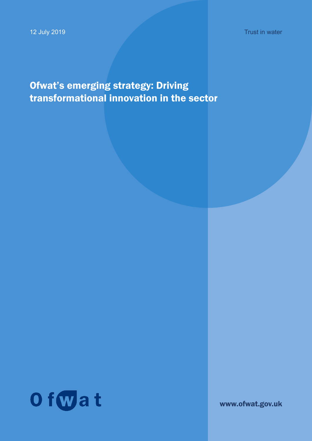Trust in water

# Ofwat's emerging strategy: Driving transformational innovation in the sector



www.ofwat.gov.uk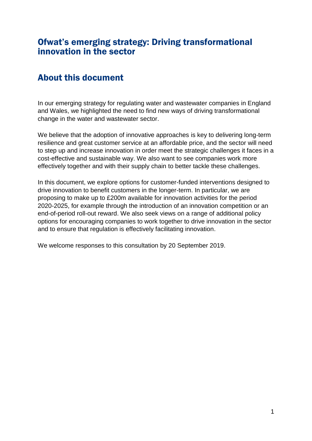## <span id="page-1-0"></span>Ofwat's emerging strategy: Driving transformational innovation in the sector

# <span id="page-1-1"></span>About this document

In our emerging strategy for regulating water and wastewater companies in England and Wales, we highlighted the need to find new ways of driving transformational change in the water and wastewater sector.

We believe that the adoption of innovative approaches is key to delivering long-term resilience and great customer service at an affordable price, and the sector will need to step up and increase innovation in order meet the strategic challenges it faces in a cost-effective and sustainable way. We also want to see companies work more effectively together and with their supply chain to better tackle these challenges.

In this document, we explore options for customer-funded interventions designed to drive innovation to benefit customers in the longer-term. In particular, we are proposing to make up to £200m available for innovation activities for the period 2020-2025, for example through the introduction of an innovation competition or an end-of-period roll-out reward. We also seek views on a range of additional policy options for encouraging companies to work together to drive innovation in the sector and to ensure that regulation is effectively facilitating innovation.

We welcome responses to this consultation by 20 September 2019.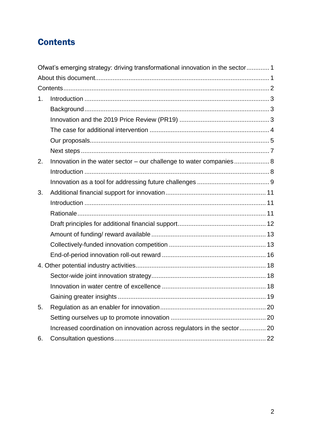# <span id="page-2-0"></span>**Contents**

|    | Ofwat's emerging strategy: driving transformational innovation in the sector 1 |    |
|----|--------------------------------------------------------------------------------|----|
|    |                                                                                |    |
|    |                                                                                |    |
| 1. |                                                                                |    |
|    |                                                                                |    |
|    |                                                                                |    |
|    |                                                                                |    |
|    |                                                                                |    |
|    |                                                                                |    |
| 2. | Innovation in the water sector – our challenge to water companies 8            |    |
|    |                                                                                |    |
|    |                                                                                |    |
| 3. |                                                                                |    |
|    |                                                                                |    |
|    |                                                                                |    |
|    |                                                                                |    |
|    |                                                                                |    |
|    |                                                                                |    |
|    |                                                                                |    |
|    |                                                                                |    |
|    |                                                                                |    |
|    |                                                                                |    |
|    |                                                                                | 19 |
| 5. |                                                                                |    |
|    |                                                                                |    |
|    | Increased coordination on innovation across regulators in the sector 20        |    |
| 6. |                                                                                |    |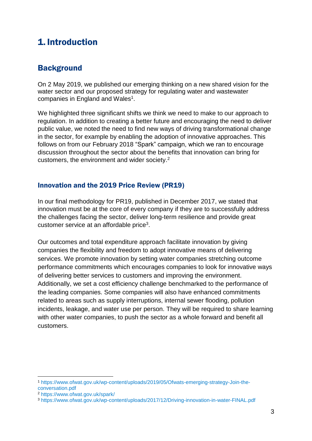# <span id="page-3-0"></span>1. Introduction

## <span id="page-3-1"></span>**Background**

On 2 May 2019, we published our emerging thinking on a new shared vision for the water sector and our proposed strategy for regulating water and wastewater companies in England and Wales<sup>1</sup>.

We highlighted three significant shifts we think we need to make to our approach to regulation. In addition to creating a better future and encouraging the need to deliver public value, we noted the need to find new ways of driving transformational change in the sector, for example by enabling the adoption of innovative approaches. This follows on from our February 2018 "Spark" campaign, which we ran to encourage discussion throughout the sector about the benefits that innovation can bring for customers, the environment and wider society. 2

## <span id="page-3-2"></span>Innovation and the 2019 Price Review (PR19)

In our final methodology for PR19, published in December 2017, we stated that innovation must be at the core of every company if they are to successfully address the challenges facing the sector, deliver long-term resilience and provide great customer service at an affordable price<sup>3</sup>.

Our outcomes and total expenditure approach facilitate innovation by giving companies the flexibility and freedom to adopt innovative means of delivering services. We promote innovation by setting water companies stretching outcome performance commitments which encourages companies to look for innovative ways of delivering better services to customers and improving the environment. Additionally, we set a cost efficiency challenge benchmarked to the performance of the leading companies. Some companies will also have enhanced commitments related to areas such as supply interruptions, internal sewer flooding, pollution incidents, leakage, and water use per person. They will be required to share learning with other water companies, to push the sector as a whole forward and benefit all customers.

<sup>1</sup> [https://www.ofwat.gov.uk/wp-content/uploads/2019/05/Ofwats-emerging-strategy-Join-the](https://www.ofwat.gov.uk/wp-content/uploads/2019/05/Ofwats-emerging-strategy-Join-the-conversation.pdf)[conversation.pdf](https://www.ofwat.gov.uk/wp-content/uploads/2019/05/Ofwats-emerging-strategy-Join-the-conversation.pdf)

<sup>2</sup> <https://www.ofwat.gov.uk/spark/>

<sup>3</sup> <https://www.ofwat.gov.uk/wp-content/uploads/2017/12/Driving-innovation-in-water-FINAL.pdf>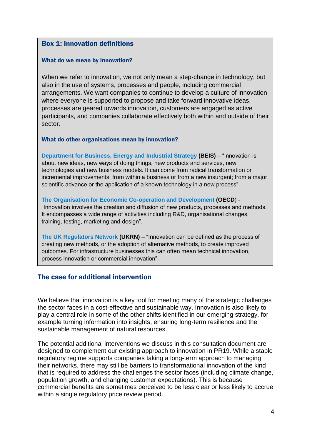## Box 1: Innovation definitions

#### What do we mean by innovation?

When we refer to innovation, we not only mean a step-change in technology, but also in the use of systems, processes and people, including commercial arrangements. We want companies to continue to develop a culture of innovation where everyone is supported to propose and take forward innovative ideas, processes are geared towards innovation, customers are engaged as active participants, and companies collaborate effectively both within and outside of their sector.

#### What do other organisations mean by innovation?

**[Department for Business, Energy and](https://assets.publishing.service.gov.uk/government/uploads/system/uploads/attachment_data/file/664563/industrial-strategy-white-paper-web-ready-version.pdf) Industrial Strategy (BEIS)** – "Innovation is about new ideas, new ways of doing things, new products and services, new technologies and new business models. It can come from radical transformation or incremental improvements; from within a business or from a new insurgent; from a major scientific advance or the application of a known technology in a new process".

#### **[The Organisation for Economic Co-operation and Development](https://www.oecd-ilibrary.org/science-and-technology/the-innovation-imperative_9789264239814-en) (OECD**) -

"Innovation involves the creation and diffusion of new products, processes and methods. It encompasses a wide range of activities including R&D, organisational changes, training, testing, marketing and design".

**[The UK Regulators Network](https://www.ukrn.org.uk/wp-content/uploads/2018/06/20150112InnovationInRegInfrSec.pdf) (UKRN)** – "Innovation can be defined as the process of creating new methods, or the adoption of alternative methods, to create improved outcomes. For infrastructure businesses this can often mean technical innovation, process innovation or commercial innovation".

#### <span id="page-4-0"></span>The case for additional intervention

We believe that innovation is a key tool for meeting many of the strategic challenges the sector faces in a cost-effective and sustainable way. Innovation is also likely to play a central role in some of the other shifts identified in our emerging strategy, for example turning information into insights, ensuring long-term resilience and the sustainable management of natural resources.

The potential additional interventions we discuss in this consultation document are designed to complement our existing approach to innovation in PR19. While a stable regulatory regime supports companies taking a long-term approach to managing their networks, there may still be barriers to transformational innovation of the kind that is required to address the challenges the sector faces (including climate change, population growth, and changing customer expectations). This is because commercial benefits are sometimes perceived to be less clear or less likely to accrue within a single regulatory price review period.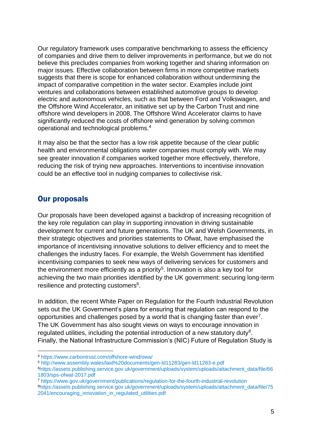Our regulatory framework uses comparative benchmarking to assess the efficiency of companies and drive them to deliver improvements in performance, but we do not believe this precludes companies from working together and sharing information on major issues. Effective collaboration between firms in more competitive markets suggests that there is scope for enhanced collaboration without undermining the impact of comparative competition in the water sector. Examples include joint ventures and collaborations between established automotive groups to develop electric and autonomous vehicles, such as that between Ford and Volkswagen, and the Offshore Wind Accelerator, an initiative set up by the Carbon Trust and nine offshore wind developers in 2008. The Offshore Wind Accelerator claims to have significantly reduced the costs of offshore wind generation by solving common operational and technological problems.<sup>4</sup>

It may also be that the sector has a low risk appetite because of the clear public health and environmental obligations water companies must comply with. We may see greater innovation if companies worked together more effectively, therefore, reducing the risk of trying new approaches. Interventions to incentivise innovation could be an effective tool in nudging companies to collectivise risk.

## <span id="page-5-0"></span>Our proposals

1

Our proposals have been developed against a backdrop of increasing recognition of the key role regulation can play in supporting innovation in driving sustainable development for current and future generations. The UK and Welsh Governments, in their strategic objectives and priorities statements to Ofwat, have emphasised the importance of incentivising innovative solutions to deliver efficiency and to meet the challenges the industry faces. For example, the Welsh Government has identified incentivising companies to seek new ways of delivering services for customers and the environment more efficiently as a priority<sup>5</sup>. Innovation is also a key tool for achieving the two main priorities identified by the UK government: securing long-term resilience and protecting customers<sup>6</sup>.

In addition, the recent White Paper on Regulation for the Fourth Industrial Revolution sets out the UK Government's plans for ensuring that regulation can respond to the opportunities and challenges posed by a world that is changing faster than ever<sup>7</sup>. The UK Government has also sought views on ways to encourage innovation in regulated utilities, including the potential introduction of a new statutory duty<sup>8</sup>. Finally, the National Infrastructure Commission's (NIC) Future of Regulation Study is

<sup>4</sup> <https://www.carbontrust.com/offshore-wind/owa/>

<sup>5</sup> <http://www.assembly.wales/laid%20documents/gen-ld11283/gen-ld11283-e.pdf>

<sup>6</sup>[https://assets.publishing.service.gov.uk/government/uploads/system/uploads/attachment\\_data/file/66](https://assets.publishing.service.gov.uk/government/uploads/system/uploads/attachment_data/file/661803/sps-ofwat-2017.pdf) [1803/sps-ofwat-2017.pdf](https://assets.publishing.service.gov.uk/government/uploads/system/uploads/attachment_data/file/661803/sps-ofwat-2017.pdf)

<sup>7</sup> <https://www.gov.uk/government/publications/regulation-for-the-fourth-industrial-revolution> <sup>8</sup>[https://assets.publishing.service.gov.uk/government/uploads/system/uploads/attachment\\_data/file/75](https://assets.publishing.service.gov.uk/government/uploads/system/uploads/attachment_data/file/752041/encouraging_innovation_in_regulated_utilities.pdf) [2041/encouraging\\_innovation\\_in\\_regulated\\_utilities.pdf](https://assets.publishing.service.gov.uk/government/uploads/system/uploads/attachment_data/file/752041/encouraging_innovation_in_regulated_utilities.pdf)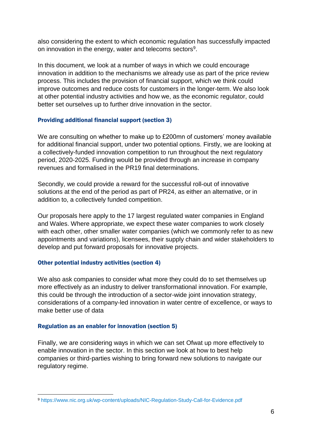also considering the extent to which economic regulation has successfully impacted on innovation in the energy, water and telecoms sectors<sup>9</sup>.

In this document, we look at a number of ways in which we could encourage innovation in addition to the mechanisms we already use as part of the price review process. This includes the provision of financial support, which we think could improve outcomes and reduce costs for customers in the longer-term. We also look at other potential industry activities and how we, as the economic regulator, could better set ourselves up to further drive innovation in the sector.

#### Providing additional financial support (section 3)

We are consulting on whether to make up to £200mn of customers' money available for additional financial support, under two potential options. Firstly, we are looking at a collectively-funded innovation competition to run throughout the next regulatory period, 2020-2025. Funding would be provided through an increase in company revenues and formalised in the PR19 final determinations.

Secondly, we could provide a reward for the successful roll-out of innovative solutions at the end of the period as part of PR24, as either an alternative, or in addition to, a collectively funded competition.

Our proposals here apply to the 17 largest regulated water companies in England and Wales. Where appropriate, we expect these water companies to work closely with each other, other smaller water companies (which we commonly refer to as new appointments and variations), licensees, their supply chain and wider stakeholders to develop and put forward proposals for innovative projects.

#### Other potential industry activities (section 4)

We also ask companies to consider what more they could do to set themselves up more effectively as an industry to deliver transformational innovation. For example, this could be through the introduction of a sector-wide joint innovation strategy, considerations of a company-led innovation in water centre of excellence, or ways to make better use of data

#### Regulation as an enabler for innovation (section 5)

Finally, we are considering ways in which we can set Ofwat up more effectively to enable innovation in the sector. In this section we look at how to best help companies or third-parties wishing to bring forward new solutions to navigate our regulatory regime.

<sup>1</sup> <sup>9</sup> <https://www.nic.org.uk/wp-content/uploads/NIC-Regulation-Study-Call-for-Evidence.pdf>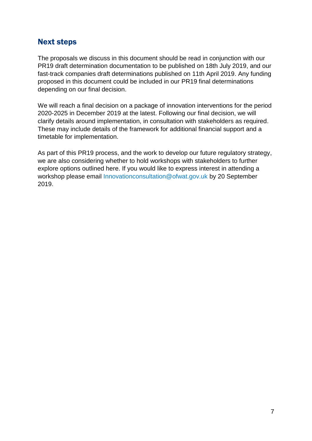## <span id="page-7-0"></span>Next steps

The proposals we discuss in this document should be read in conjunction with our PR19 draft determination documentation to be published on 18th July 2019, and our fast-track companies draft determinations published on 11th April 2019. Any funding proposed in this document could be included in our PR19 final determinations depending on our final decision.

We will reach a final decision on a package of innovation interventions for the period 2020-2025 in December 2019 at the latest. Following our final decision, we will clarify details around implementation, in consultation with stakeholders as required. These may include details of the framework for additional financial support and a timetable for implementation.

As part of this PR19 process, and the work to develop our future regulatory strategy, we are also considering whether to hold workshops with stakeholders to further explore options outlined here. If you would like to express interest in attending a workshop please email [Innovationconsultation@ofwat.gov.uk](mailto:Innovationconsultation@ofwat.gov.uk) by 20 September 2019.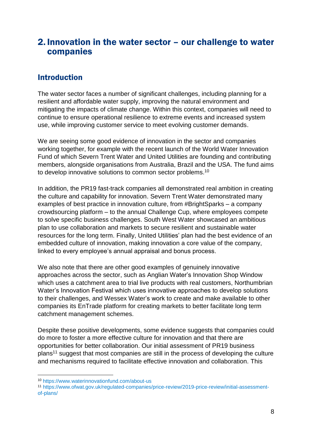## <span id="page-8-0"></span>2. Innovation in the water sector – our challenge to water companies

## <span id="page-8-1"></span>**Introduction**

The water sector faces a number of significant challenges, including planning for a resilient and affordable water supply, improving the natural environment and mitigating the impacts of climate change. Within this context, companies will need to continue to ensure operational resilience to extreme events and increased system use, while improving customer service to meet evolving customer demands.

We are seeing some good evidence of innovation in the sector and companies working together, for example with the recent launch of the World Water Innovation Fund of which Severn Trent Water and United Utilities are founding and contributing members, alongside organisations from Australia, Brazil and the USA. The fund aims to develop innovative solutions to common sector problems.<sup>10</sup>

In addition, the PR19 fast-track companies all demonstrated real ambition in creating the culture and capability for innovation. Severn Trent Water demonstrated many examples of best practice in innovation culture, from #BrightSparks – a company crowdsourcing platform – to the annual Challenge Cup, where employees compete to solve specific business challenges. South West Water showcased an ambitious plan to use collaboration and markets to secure resilient and sustainable water resources for the long term. Finally, United Utilities' plan had the best evidence of an embedded culture of innovation, making innovation a core value of the company, linked to every employee's annual appraisal and bonus process.

We also note that there are other good examples of genuinely innovative approaches across the sector, such as Anglian Water's Innovation Shop Window which uses a catchment area to trial live products with real customers, Northumbrian Water's Innovation Festival which uses innovative approaches to develop solutions to their challenges, and Wessex Water's work to create and make available to other companies its EnTrade platform for creating markets to better facilitate long term catchment management schemes.

Despite these positive developments, some evidence suggests that companies could do more to foster a more effective culture for innovation and that there are opportunities for better collaboration. Our initial assessment of PR19 business plans<sup>11</sup> suggest that most companies are still in the process of developing the culture and mechanisms required to facilitate effective innovation and collaboration. This

<sup>10</sup> <https://www.waterinnovationfund.com/about-us>

<sup>11</sup> [https://www.ofwat.gov.uk/regulated-companies/price-review/2019-price-review/initial-assessment](https://www.ofwat.gov.uk/regulated-companies/price-review/2019-price-review/initial-assessment-of-plans/)[of-plans/](https://www.ofwat.gov.uk/regulated-companies/price-review/2019-price-review/initial-assessment-of-plans/)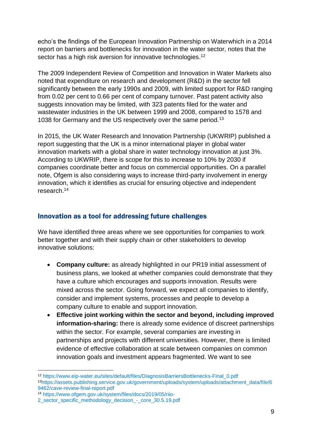echo's the findings of the European Innovation Partnership on Waterwhich in a 2014 report on barriers and bottlenecks for innovation in the water sector, notes that the sector has a high risk aversion for innovative technologies.<sup>12</sup>

The 2009 Independent Review of Competition and Innovation in Water Markets also noted that expenditure on research and development (R&D) in the sector fell significantly between the early 1990s and 2009, with limited support for R&D ranging from 0.02 per cent to 0.66 per cent of company turnover. Past patent activity also suggests innovation may be limited, with 323 patents filed for the water and wastewater industries in the UK between 1999 and 2008, compared to 1578 and 1038 for Germany and the US respectively over the same period. 13

In 2015, the UK Water Research and Innovation Partnership (UKWRIP) published a report suggesting that the UK is a minor international player in global water innovation markets with a global share in water technology innovation at just 3%. According to UKWRIP, there is scope for this to increase to 10% by 2030 if companies coordinate better and focus on commercial opportunities. On a parallel note, Ofgem is also considering ways to increase third-party involvement in energy innovation, which it identifies as crucial for ensuring objective and independent research.<sup>14</sup>

### <span id="page-9-0"></span>Innovation as a tool for addressing future challenges

We have identified three areas where we see opportunities for companies to work better together and with their supply chain or other stakeholders to develop innovative solutions:

- **Company culture:** as already highlighted in our PR19 initial assessment of business plans, we looked at whether companies could demonstrate that they have a culture which encourages and supports innovation. Results were mixed across the sector. Going forward, we expect all companies to identify, consider and implement systems, processes and people to develop a company culture to enable and support innovation.
- **Effective joint working within the sector and beyond, including improved information-sharing:** there is already some evidence of discreet partnerships within the sector. For example, several companies are investing in partnerships and projects with different universities. However, there is limited evidence of effective collaboration at scale between companies on common innovation goals and investment appears fragmented. We want to see

<sup>12</sup> [https://www.eip-water.eu/sites/default/files/DiagnosisBarriersBottlenecks-Final\\_0.pdf](https://www.eip-water.eu/sites/default/files/DiagnosisBarriersBottlenecks-Final_0.pdf) <sup>13</sup>[https://assets.publishing.service.gov.uk/government/uploads/system/uploads/attachment\\_data/file/6](https://assets.publishing.service.gov.uk/government/uploads/system/uploads/attachment_data/file/69462/cave-review-final-report.pdf) [9462/cave-review-final-report.pdf](https://assets.publishing.service.gov.uk/government/uploads/system/uploads/attachment_data/file/69462/cave-review-final-report.pdf)

<sup>14</sup> [https://www.ofgem.gov.uk/system/files/docs/2019/05/riio-](https://www.ofgem.gov.uk/system/files/docs/2019/05/riio-%202_sector_specific_methodology_decision_-_core_30.5.19.pdf)

[<sup>2</sup>\\_sector\\_specific\\_methodology\\_decision\\_-\\_core\\_30.5.19.pdf](https://www.ofgem.gov.uk/system/files/docs/2019/05/riio-%202_sector_specific_methodology_decision_-_core_30.5.19.pdf)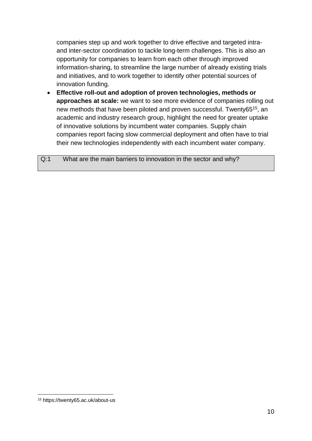companies step up and work together to drive effective and targeted intraand inter-sector coordination to tackle long-term challenges. This is also an opportunity for companies to learn from each other through improved information-sharing, to streamline the large number of already existing trials and initiatives, and to work together to identify other potential sources of innovation funding.

 **Effective roll-out and adoption of proven technologies, methods or approaches at scale:** we want to see more evidence of companies rolling out new methods that have been piloted and proven successful. Twenty65<sup>15</sup>, an academic and industry research group, highlight the need for greater uptake of innovative solutions by incumbent water companies. Supply chain companies report facing slow commercial deployment and often have to trial their new technologies independently with each incumbent water company.

Q:1 What are the main barriers to innovation in the sector and why?

<sup>15</sup> <https://twenty65.ac.uk/about-us>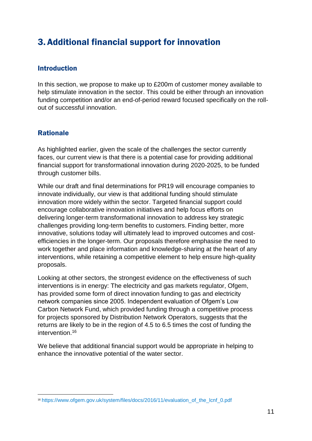# <span id="page-11-0"></span>3. Additional financial support for innovation

## <span id="page-11-1"></span>Introduction

In this section, we propose to make up to £200m of customer money available to help stimulate innovation in the sector. This could be either through an innovation funding competition and/or an end-of-period reward focused specifically on the rollout of successful innovation.

## <span id="page-11-2"></span>Rationale

As highlighted earlier, given the scale of the challenges the sector currently faces, our current view is that there is a potential case for providing additional financial support for transformational innovation during 2020-2025, to be funded through customer bills.

While our draft and final determinations for PR19 will encourage companies to innovate individually, our view is that additional funding should stimulate innovation more widely within the sector. Targeted financial support could encourage collaborative innovation initiatives and help focus efforts on delivering longer-term transformational innovation to address key strategic challenges providing long-term benefits to customers. Finding better, more innovative, solutions today will ultimately lead to improved outcomes and costefficiencies in the longer-term. Our proposals therefore emphasise the need to work together and place information and knowledge-sharing at the heart of any interventions, while retaining a competitive element to help ensure high-quality proposals.

Looking at other sectors, the strongest evidence on the effectiveness of such interventions is in energy: The electricity and gas markets regulator, Ofgem, has provided some form of direct innovation funding to gas and electricity network companies since 2005. Independent evaluation of Ofgem's Low Carbon Network Fund, which provided funding through a competitive process for projects sponsored by Distribution Network Operators, suggests that the returns are likely to be in the region of 4.5 to 6.5 times the cost of funding the intervention.<sup>16</sup>

We believe that additional financial support would be appropriate in helping to enhance the innovative potential of the water sector.

<sup>1</sup> <sup>16</sup> [https://www.ofgem.gov.uk/system/files/docs/2016/11/evaluation\\_of\\_the\\_lcnf\\_0.pdf](https://www.ofgem.gov.uk/system/files/docs/2016/11/evaluation_of_the_lcnf_0.pdf)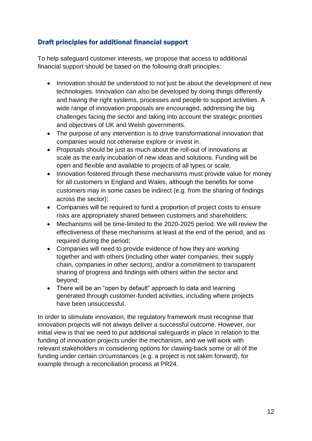## <span id="page-12-0"></span>Draft principles for additional financial support

To help safeguard customer interests, we propose that access to additional financial support should be based on the following draft principles:

- Innovation should be understood to not just be about the development of new technologies. Innovation can also be developed by doing things differently and having the right systems, processes and people to support activities. A wide range of innovation proposals are encouraged, addressing the big challenges facing the sector and taking into account the strategic priorities and objectives of UK and Welsh governments.
- The purpose of any intervention is to drive transformational innovation that companies would not otherwise explore or invest in.
- Proposals should be just as much about the roll-out of innovations at scale as the early incubation of new ideas and solutions. Funding will be open and flexible and available to projects of all types or scale.
- Innovation fostered through these mechanisms must provide value for money for all customers in England and Wales, although the benefits for some customers may in some cases be indirect (e.g. from the sharing of findings across the sector);
- Companies will be required to fund a proportion of project costs to ensure risks are appropriately shared between customers and shareholders;
- Mechanisms will be time-limited to the 2020-2025 period. We will review the effectiveness of these mechanisms at least at the end of the period, and as required during the period;
- Companies will need to provide evidence of how they are working together and with others (including other water companies, their supply chain, companies in other sectors), and/or a commitment to transparent sharing of progress and findings with others within the sector and beyond;
- There will be an "open by default" approach to data and learning generated through customer-funded activities, including where projects have been unsuccessful.

In order to stimulate innovation, the regulatory framework must recognise that innovation projects will not always deliver a successful outcome. However, our initial view is that we need to put additional safeguards in place in relation to the funding of innovation projects under the mechanism, and we will work with relevant stakeholders in considering options for clawing-back some or all of the funding under certain circumstances (e.g. a project is not taken forward), for example through a reconciliation process at PR24.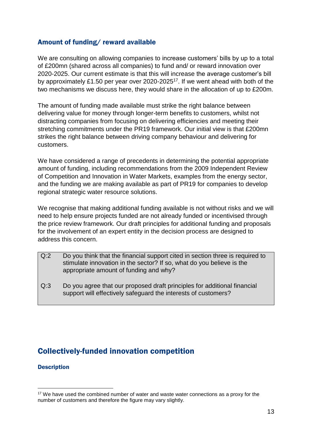## <span id="page-13-0"></span>Amount of funding/ reward available

We are consulting on allowing companies to increase customers' bills by up to a total of £200mn (shared across all companies) to fund and/ or reward innovation over 2020-2025. Our current estimate is that this will increase the average customer's bill by approximately £1.50 per year over 2020-2025<sup>17</sup>. If we went ahead with both of the two mechanisms we discuss here, they would share in the allocation of up to £200m.

The amount of funding made available must strike the right balance between delivering value for money through longer-term benefits to customers, whilst not distracting companies from focusing on delivering efficiencies and meeting their stretching commitments under the PR19 framework. Our initial view is that £200mn strikes the right balance between driving company behaviour and delivering for customers.

We have considered a range of precedents in determining the potential appropriate amount of funding, including recommendations from the 2009 Independent Review of Competition and Innovation in Water Markets, examples from the energy sector, and the funding we are making available as part of PR19 for companies to develop regional strategic water resource solutions.

We recognise that making additional funding available is not without risks and we will need to help ensure projects funded are not already funded or incentivised through the price review framework. Our draft principles for additional funding and proposals for the involvement of an expert entity in the decision process are designed to address this concern.

- Q:2 Do you think that the financial support cited in section three is required to stimulate innovation in the sector? If so, what do you believe is the appropriate amount of funding and why?
- <span id="page-13-1"></span>Q:3 Do you agree that our proposed draft principles for additional financial support will effectively safeguard the interests of customers?

## Collectively-funded innovation competition

#### **Description**

<sup>&</sup>lt;sup>17</sup> We have used the combined number of water and waste water connections as a proxy for the number of customers and therefore the figure may vary slightly.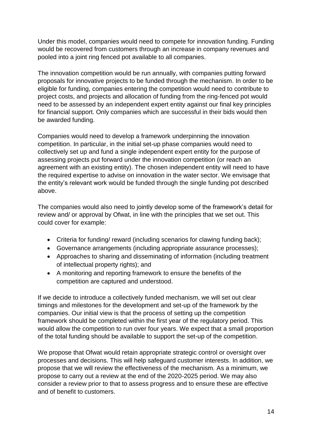Under this model, companies would need to compete for innovation funding. Funding would be recovered from customers through an increase in company revenues and pooled into a joint ring fenced pot available to all companies.

The innovation competition would be run annually, with companies putting forward proposals for innovative projects to be funded through the mechanism. In order to be eligible for funding, companies entering the competition would need to contribute to project costs, and projects and allocation of funding from the ring-fenced pot would need to be assessed by an independent expert entity against our final key principles for financial support. Only companies which are successful in their bids would then be awarded funding.

Companies would need to develop a framework underpinning the innovation competition. In particular, in the initial set-up phase companies would need to collectively set up and fund a single independent expert entity for the purpose of assessing projects put forward under the innovation competition (or reach an agreement with an existing entity). The chosen independent entity will need to have the required expertise to advise on innovation in the water sector. We envisage that the entity's relevant work would be funded through the single funding pot described above.

The companies would also need to jointly develop some of the framework's detail for review and/ or approval by Ofwat, in line with the principles that we set out. This could cover for example:

- Criteria for funding/ reward (including scenarios for clawing funding back);
- Governance arrangements (including appropriate assurance processes);
- Approaches to sharing and disseminating of information (including treatment of intellectual property rights); and
- A monitoring and reporting framework to ensure the benefits of the competition are captured and understood.

If we decide to introduce a collectively funded mechanism, we will set out clear timings and milestones for the development and set-up of the framework by the companies. Our initial view is that the process of setting up the competition framework should be completed within the first year of the regulatory period. This would allow the competition to run over four years. We expect that a small proportion of the total funding should be available to support the set-up of the competition.

We propose that Ofwat would retain appropriate strategic control or oversight over processes and decisions. This will help safeguard customer interests. In addition, we propose that we will review the effectiveness of the mechanism. As a minimum, we propose to carry out a review at the end of the 2020-2025 period. We may also consider a review prior to that to assess progress and to ensure these are effective and of benefit to customers.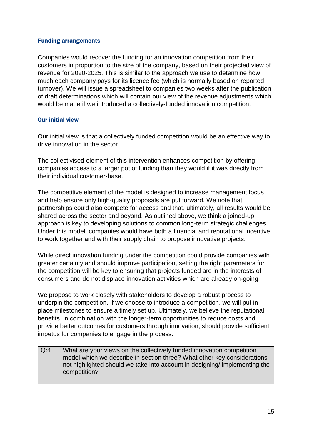#### Funding arrangements

Companies would recover the funding for an innovation competition from their customers in proportion to the size of the company, based on their projected view of revenue for 2020-2025. This is similar to the approach we use to determine how much each company pays for its licence fee (which is normally based on reported turnover). We will issue a spreadsheet to companies two weeks after the publication of draft determinations which will contain our view of the revenue adjustments which would be made if we introduced a collectively-funded innovation competition.

#### Our initial view

Our initial view is that a collectively funded competition would be an effective way to drive innovation in the sector.

The collectivised element of this intervention enhances competition by offering companies access to a larger pot of funding than they would if it was directly from their individual customer-base.

The competitive element of the model is designed to increase management focus and help ensure only high-quality proposals are put forward. We note that partnerships could also compete for access and that, ultimately, all results would be shared across the sector and beyond. As outlined above, we think a joined-up approach is key to developing solutions to common long-term strategic challenges. Under this model, companies would have both a financial and reputational incentive to work together and with their supply chain to propose innovative projects.

While direct innovation funding under the competition could provide companies with greater certainty and should improve participation, setting the right parameters for the competition will be key to ensuring that projects funded are in the interests of consumers and do not displace innovation activities which are already on-going.

We propose to work closely with stakeholders to develop a robust process to underpin the competition. If we choose to introduce a competition, we will put in place milestones to ensure a timely set up. Ultimately, we believe the reputational benefits, in combination with the longer-term opportunities to reduce costs and provide better outcomes for customers through innovation, should provide sufficient impetus for companies to engage in the process.

Q:4 What are your views on the collectively funded innovation competition model which we describe in section three? What other key considerations not highlighted should we take into account in designing/ implementing the competition?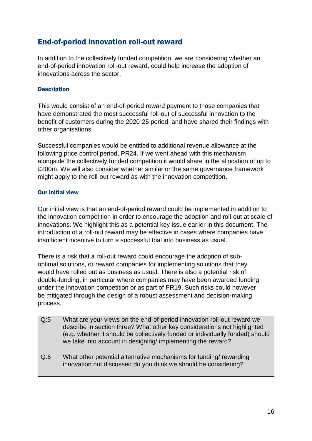## <span id="page-16-0"></span>End-of-period innovation roll-out reward

In addition to the collectively funded competition, we are considering whether an end-of-period innovation roll-out reward, could help increase the adoption of innovations across the sector.

#### **Description**

This would consist of an end-of-period reward payment to those companies that have demonstrated the most successful roll-out of successful innovation to the benefit of customers during the 2020-25 period, and have shared their findings with other organisations.

Successful companies would be entitled to additional revenue allowance at the following price control period, PR24. If we went ahead with this mechanism alongside the collectively funded competition it would share in the allocation of up to £200m. We will also consider whether similar or the same governance framework might apply to the roll-out reward as with the innovation competition.

#### Our initial view

Our initial view is that an end-of-period reward could be implemented in addition to the innovation competition in order to encourage the adoption and roll-out at scale of innovations. We highlight this as a potential key issue earlier in this document. The introduction of a roll-out reward may be effective in cases where companies have insufficient incentive to turn a successful trial into business as usual.

There is a risk that a roll-out reward could encourage the adoption of suboptimal solutions, or reward companies for implementing solutions that they would have rolled out as business as usual. There is also a potential risk of double-funding, in particular where companies may have been awarded funding under the innovation competition or as part of PR19. Such risks could however be mitigated through the design of a robust assessment and decision-making process.

- Q:5 What are your views on the end-of-period innovation roll-out reward we describe in section three? What other key considerations not highlighted (e.g. whether it should be collectively funded or individually funded) should we take into account in designing/ implementing the reward?
- Q:6 What other potential alternative mechanisms for funding/ rewarding innovation not discussed do you think we should be considering?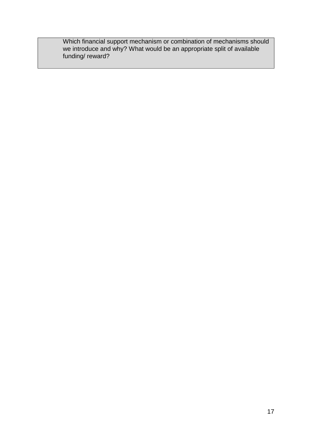Which financial support mechanism or combination of mechanisms should we introduce and why? What would be an appropriate split of available funding/ reward?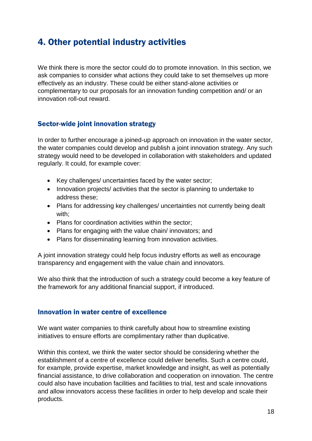# <span id="page-18-0"></span>4. Other potential industry activities

We think there is more the sector could do to promote innovation. In this section, we ask companies to consider what actions they could take to set themselves up more effectively as an industry. These could be either stand-alone activities or complementary to our proposals for an innovation funding competition and/ or an innovation roll-out reward.

### <span id="page-18-1"></span>Sector-wide joint innovation strategy

In order to further encourage a joined-up approach on innovation in the water sector, the water companies could develop and publish a joint innovation strategy. Any such strategy would need to be developed in collaboration with stakeholders and updated regularly. It could, for example cover:

- Key challenges/ uncertainties faced by the water sector:
- Innovation projects/ activities that the sector is planning to undertake to address these;
- Plans for addressing key challenges/ uncertainties not currently being dealt with;
- Plans for coordination activities within the sector;
- Plans for engaging with the value chain/ innovators; and
- Plans for disseminating learning from innovation activities.

A joint innovation strategy could help focus industry efforts as well as encourage transparency and engagement with the value chain and innovators.

We also think that the introduction of such a strategy could become a key feature of the framework for any additional financial support, if introduced.

### <span id="page-18-2"></span>Innovation in water centre of excellence

We want water companies to think carefully about how to streamline existing initiatives to ensure efforts are complimentary rather than duplicative.

Within this context, we think the water sector should be considering whether the establishment of a centre of excellence could deliver benefits. Such a centre could, for example, provide expertise, market knowledge and insight, as well as potentially financial assistance, to drive collaboration and cooperation on innovation. The centre could also have incubation facilities and facilities to trial, test and scale innovations and allow innovators access these facilities in order to help develop and scale their products.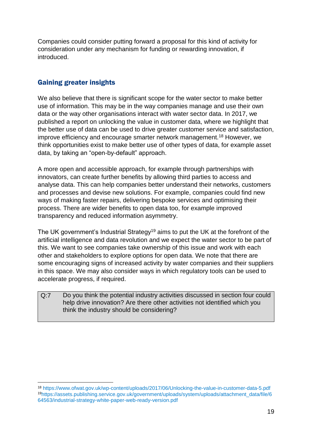Companies could consider putting forward a proposal for this kind of activity for consideration under any mechanism for funding or rewarding innovation, if introduced.

## <span id="page-19-0"></span>Gaining greater insights

1

We also believe that there is significant scope for the water sector to make better use of information. This may be in the way companies manage and use their own data or the way other organisations interact with water sector data. In 2017, we published a report on unlocking the value in customer data, where we highlight that the better use of data can be used to drive greater customer service and satisfaction, improve efficiency and encourage smarter network management.<sup>18</sup> However, we think opportunities exist to make better use of other types of data, for example asset data, by taking an "open-by-default" approach.

A more open and accessible approach, for example through partnerships with innovators, can create further benefits by allowing third parties to access and analyse data. This can help companies better understand their networks, customers and processes and devise new solutions. For example, companies could find new ways of making faster repairs, delivering bespoke services and optimising their process. There are wider benefits to open data too, for example improved transparency and reduced information asymmetry.

The UK government's Industrial Strategy<sup>19</sup> aims to put the UK at the forefront of the artificial intelligence and data revolution and we expect the water sector to be part of this. We want to see companies take ownership of this issue and work with each other and stakeholders to explore options for open data. We note that there are some encouraging signs of increased activity by water companies and their suppliers in this space. We may also consider ways in which regulatory tools can be used to accelerate progress, if required.

Q:7 Do you think the potential industry activities discussed in section four could help drive innovation? Are there other activities not identified which you think the industry should be considering?

<sup>18</sup> <https://www.ofwat.gov.uk/wp-content/uploads/2017/06/Unlocking-the-value-in-customer-data-5.pdf> <sup>19</sup>[https://assets.publishing.service.gov.uk/government/uploads/system/uploads/attachment\\_data/file/6](https://assets.publishing.service.gov.uk/government/uploads/system/uploads/attachment_data/file/664563/industrial-strategy-white-paper-web-ready-version.pdf) [64563/industrial-strategy-white-paper-web-ready-version.pdf](https://assets.publishing.service.gov.uk/government/uploads/system/uploads/attachment_data/file/664563/industrial-strategy-white-paper-web-ready-version.pdf)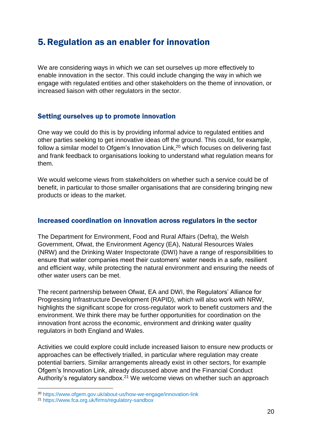# <span id="page-20-0"></span>5.Regulation as an enabler for innovation

We are considering ways in which we can set ourselves up more effectively to enable innovation in the sector. This could include changing the way in which we engage with regulated entities and other stakeholders on the theme of innovation, or increased liaison with other regulators in the sector.

### <span id="page-20-1"></span>Setting ourselves up to promote innovation

One way we could do this is by providing informal advice to regulated entities and other parties seeking to get innovative ideas off the ground. This could, for example, follow a similar model to Ofgem's Innovation Link.<sup>20</sup> which focuses on delivering fast and frank feedback to organisations looking to understand what regulation means for them.

We would welcome views from stakeholders on whether such a service could be of benefit, in particular to those smaller organisations that are considering bringing new products or ideas to the market.

#### <span id="page-20-2"></span>Increased coordination on innovation across regulators in the sector

The Department for Environment, Food and Rural Affairs (Defra), the Welsh Government, Ofwat, the Environment Agency (EA), Natural Resources Wales (NRW) and the Drinking Water Inspectorate (DWI) have a range of responsibilities to ensure that water companies meet their customers' water needs in a safe, resilient and efficient way, while protecting the natural environment and ensuring the needs of other water users can be met.

The recent partnership between Ofwat, EA and DWI, the Regulators' Alliance for Progressing Infrastructure Development (RAPID), which will also work with NRW, highlights the significant scope for cross-regulator work to benefit customers and the environment. We think there may be further opportunities for coordination on the innovation front across the economic, environment and drinking water quality regulators in both England and Wales.

Activities we could explore could include increased liaison to ensure new products or approaches can be effectively trialled, in particular where regulation may create potential barriers. Similar arrangements already exist in other sectors, for example Ofgem's Innovation Link, already discussed above and the Financial Conduct Authority's regulatory sandbox.<sup>21</sup> We welcome views on whether such an approach

<sup>20</sup> <https://www.ofgem.gov.uk/about-us/how-we-engage/innovation-link>

<sup>21</sup> <https://www.fca.org.uk/firms/regulatory-sandbox>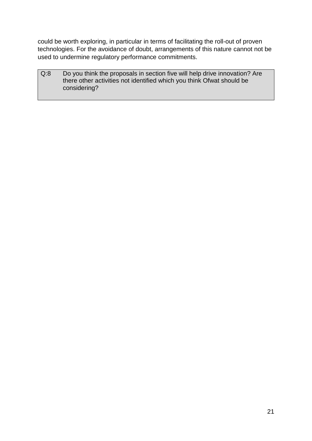could be worth exploring, in particular in terms of facilitating the roll-out of proven technologies. For the avoidance of doubt, arrangements of this nature cannot not be used to undermine regulatory performance commitments.

Q:8 Do you think the proposals in section five will help drive innovation? Are there other activities not identified which you think Ofwat should be considering?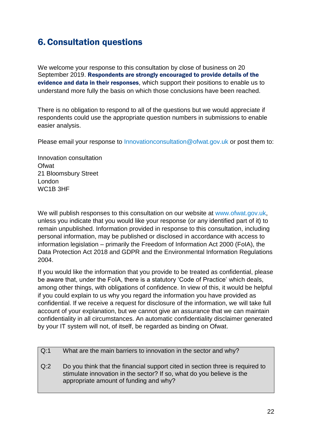# <span id="page-22-0"></span>6.Consultation questions

We welcome your response to this consultation by close of business on 20 September 2019. Respondents are strongly encouraged to provide details of the evidence and data in their responses, which support their positions to enable us to understand more fully the basis on which those conclusions have been reached.

There is no obligation to respond to all of the questions but we would appreciate if respondents could use the appropriate question numbers in submissions to enable easier analysis.

Please email your response to [Innovationconsultation@ofwat.gov.uk](mailto:Innovationconsultation@ofwat.gov.uk) or post them to:

Innovation consultation Ofwat 21 Bloomsbury Street London WC1B 3HF

We will publish responses to this consultation on our website at [www.ofwat.gov.uk,](http://www.ofwat.gov.uk/) unless you indicate that you would like your response (or any identified part of it) to remain unpublished. Information provided in response to this consultation, including personal information, may be published or disclosed in accordance with access to information legislation – primarily the Freedom of Information Act 2000 (FoIA), the Data Protection Act 2018 and GDPR and the Environmental Information Regulations 2004.

If you would like the information that you provide to be treated as confidential, please be aware that, under the FoIA, there is a statutory 'Code of Practice' which deals, among other things, with obligations of confidence. In view of this, it would be helpful if you could explain to us why you regard the information you have provided as confidential. If we receive a request for disclosure of the information, we will take full account of your explanation, but we cannot give an assurance that we can maintain confidentiality in all circumstances. An automatic confidentiality disclaimer generated by your IT system will not, of itself, be regarded as binding on Ofwat.

| Q:1 | What are the main barriers to innovation in the sector and why?                                                                                                                                  |
|-----|--------------------------------------------------------------------------------------------------------------------------------------------------------------------------------------------------|
| Q:2 | Do you think that the financial support cited in section three is required to<br>stimulate innovation in the sector? If so, what do you believe is the<br>appropriate amount of funding and why? |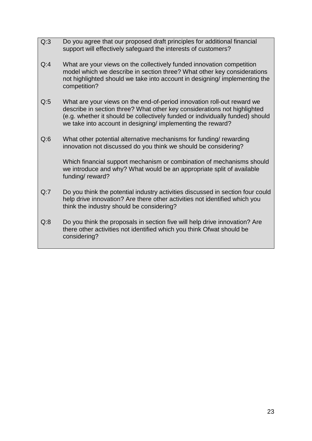- Q:3 Do you agree that our proposed draft principles for additional financial support will effectively safeguard the interests of customers?
- Q:4 What are your views on the collectively funded innovation competition model which we describe in section three? What other key considerations not highlighted should we take into account in designing/ implementing the competition?
- Q:5 What are your views on the end-of-period innovation roll-out reward we describe in section three? What other key considerations not highlighted (e.g. whether it should be collectively funded or individually funded) should we take into account in designing/ implementing the reward?
- Q:6 What other potential alternative mechanisms for funding/ rewarding innovation not discussed do you think we should be considering?

Which financial support mechanism or combination of mechanisms should we introduce and why? What would be an appropriate split of available funding/ reward?

- Q:7 Do you think the potential industry activities discussed in section four could help drive innovation? Are there other activities not identified which you think the industry should be considering?
- Q:8 Do you think the proposals in section five will help drive innovation? Are there other activities not identified which you think Ofwat should be considering?